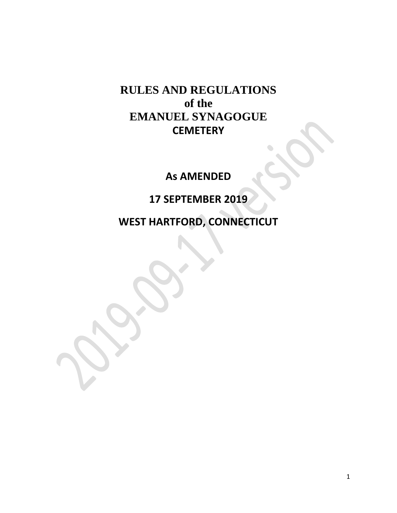# **RULES AND REGULATIONS of the EMANUEL SYNAGOGUE CEMETERY**

**As AMENDED**

**17 SEPTEMBER 2019**

**WEST HARTFORD, CONNECTICUT**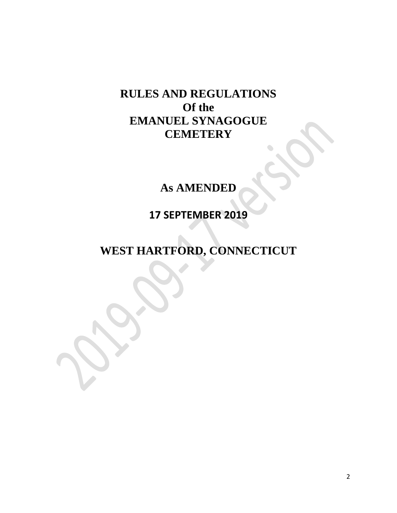# **RULES AND REGULATIONS Of the EMANUEL SYNAGOGUE CEMETERY**

# **As AMENDED**

**17 SEPTEMBER 2019**

**WEST HARTFORD, CONNECTICUT**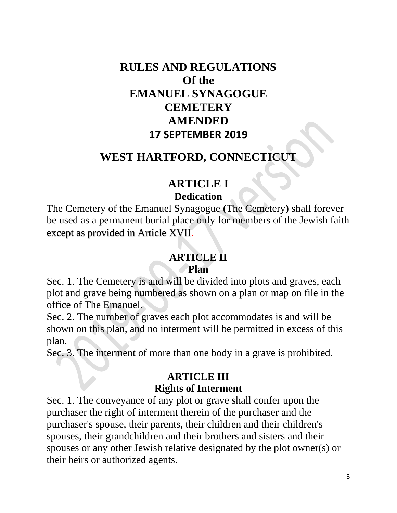# **RULES AND REGULATIONS Of the EMANUEL SYNAGOGUE CEMETERY AMENDED 17 SEPTEMBER 2019**

### **WEST HARTFORD, CONNECTICUT**

# **ARTICLE I Dedication**

The Cemetery of the Emanuel Synagogue **(**The Cemetery**)** shall forever be used as a permanent burial place only for members of the Jewish faith except as provided in Article XVII.

### **ARTICLE II Plan**

Sec. 1. The Cemetery is and will be divided into plots and graves, each plot and grave being numbered as shown on a plan or map on file in the office of The Emanuel.

Sec. 2. The number of graves each plot accommodates is and will be shown on this plan, and no interment will be permitted in excess of this plan.

Sec. 3. The interment of more than one body in a grave is prohibited.

### **ARTICLE III Rights of Interment**

Sec. 1. The conveyance of any plot or grave shall confer upon the purchaser the right of interment therein of the purchaser and the purchaser's spouse, their parents, their children and their children's spouses, their grandchildren and their brothers and sisters and their spouses or any other Jewish relative designated by the plot owner(s) or their heirs or authorized agents.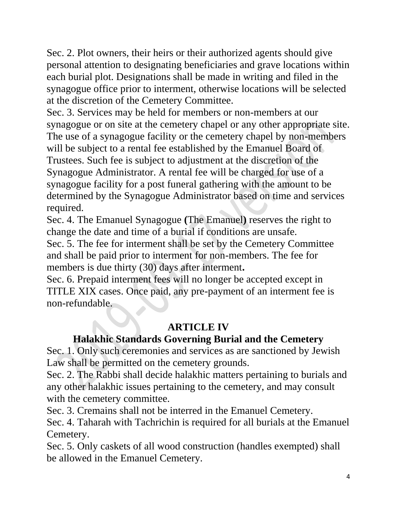Sec. 2. Plot owners, their heirs or their authorized agents should give personal attention to designating beneficiaries and grave locations within each burial plot. Designations shall be made in writing and filed in the synagogue office prior to interment, otherwise locations will be selected at the discretion of the Cemetery Committee.

Sec. 3. Services may be held for members or non-members at our synagogue or on site at the cemetery chapel or any other appropriate site. The use of a synagogue facility or the cemetery chapel by non-members will be subject to a rental fee established by the Emanuel Board of Trustees. Such fee is subject to adjustment at the discretion of the Synagogue Administrator. A rental fee will be charged for use of a synagogue facility for a post funeral gathering with the amount to be determined by the Synagogue Administrator based on time and services required.

Sec. 4. The Emanuel Synagogue **(**The Emanuel**)** reserves the right to change the date and time of a burial if conditions are unsafe.

Sec. 5. The fee for interment shall be set by the Cemetery Committee and shall be paid prior to interment for non-members. The fee for members is due thirty (30) days after interment**.** 

Sec. 6. Prepaid interment fees will no longer be accepted except in TITLE XIX cases. Once paid, any pre-payment of an interment fee is non-refundable.

### **ARTICLE IV**

## **Halakhic Standards Governing Burial and the Cemetery**

Sec. 1. Only such ceremonies and services as are sanctioned by Jewish Law shall be permitted on the cemetery grounds.

Sec. 2. The Rabbi shall decide halakhic matters pertaining to burials and any other halakhic issues pertaining to the cemetery, and may consult with the cemetery committee.

Sec. 3. Cremains shall not be interred in the Emanuel Cemetery.

Sec. 4. Taharah with Tachrichin is required for all burials at the Emanuel Cemetery.

Sec. 5. Only caskets of all wood construction (handles exempted) shall be allowed in the Emanuel Cemetery.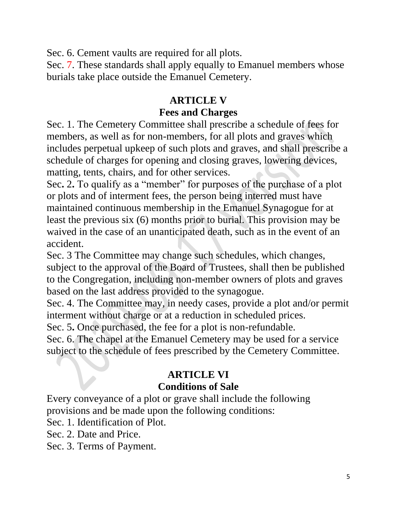Sec. 6. Cement vaults are required for all plots.

Sec. 7. These standards shall apply equally to Emanuel members whose burials take place outside the Emanuel Cemetery.

### **ARTICLE V**

#### **Fees and Charges**

Sec. 1. The Cemetery Committee shall prescribe a schedule of fees for members, as well as for non-members, for all plots and graves which includes perpetual upkeep of such plots and graves, and shall prescribe a schedule of charges for opening and closing graves, lowering devices, matting, tents, chairs, and for other services.

Sec**.** 2**.** To qualify as a "member" for purposes of the purchase of a plot or plots and of interment fees, the person being interred must have maintained continuous membership in the Emanuel Synagogue for at least the previous six (6) months prior to burial. This provision may be waived in the case of an unanticipated death, such as in the event of an accident.

Sec. 3 The Committee may change such schedules, which changes, subject to the approval of the Board of Trustees, shall then be published to the Congregation, including non-member owners of plots and graves based on the last address provided to the synagogue.

Sec. 4. The Committee may, in needy cases, provide a plot and/or permit interment without charge or at a reduction in scheduled prices.

Sec. 5**.** Once purchased, the fee for a plot is non-refundable.

Sec. 6. The chapel at the Emanuel Cemetery may be used for a service subject to the schedule of fees prescribed by the Cemetery Committee.

# **ARTICLE VI**

#### **Conditions of Sale**

Every conveyance of a plot or grave shall include the following provisions and be made upon the following conditions:

Sec. 1. Identification of Plot.

- Sec. 2. Date and Price.
- Sec. 3. Terms of Payment.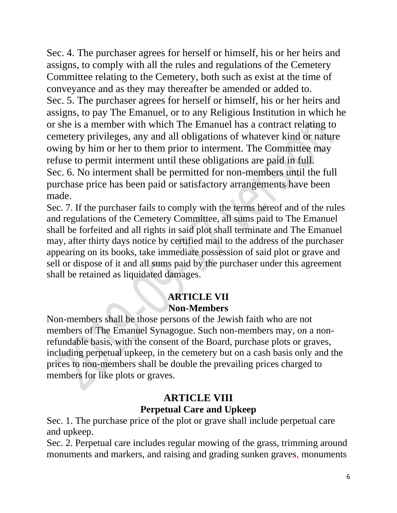Sec. 4. The purchaser agrees for herself or himself, his or her heirs and assigns, to comply with all the rules and regulations of the Cemetery Committee relating to the Cemetery, both such as exist at the time of conveyance and as they may thereafter be amended or added to. Sec. 5. The purchaser agrees for herself or himself, his or her heirs and assigns, to pay The Emanuel, or to any Religious Institution in which he or she is a member with which The Emanuel has a contract relating to cemetery privileges, any and all obligations of whatever kind or nature owing by him or her to them prior to interment. The Committee may refuse to permit interment until these obligations are paid in full. Sec. 6. No interment shall be permitted for non-members until the full purchase price has been paid or satisfactory arrangements have been made.

Sec. 7. If the purchaser fails to comply with the terms hereof and of the rules and regulations of the Cemetery Committee, all sums paid to The Emanuel shall be forfeited and all rights in said plot shall terminate and The Emanuel may, after thirty days notice by certified mail to the address of the purchaser appearing on its books, take immediate possession of said plot or grave and sell or dispose of it and all sums paid by the purchaser under this agreement shall be retained as liquidated damages.

#### **ARTICLE VII Non-Members**

Non-members shall be those persons of the Jewish faith who are not members of The Emanuel Synagogue. Such non-members may, on a nonrefundable basis, with the consent of the Board, purchase plots or graves, including perpetual upkeep, in the cemetery but on a cash basis only and the prices to non-members shall be double the prevailing prices charged to members for like plots or graves.

### **ARTICLE VIII Perpetual Care and Upkeep**

Sec. 1. The purchase price of the plot or grave shall include perpetual care and upkeep.

Sec. 2. Perpetual care includes regular mowing of the grass, trimming around monuments and markers, and raising and grading sunken graves, monuments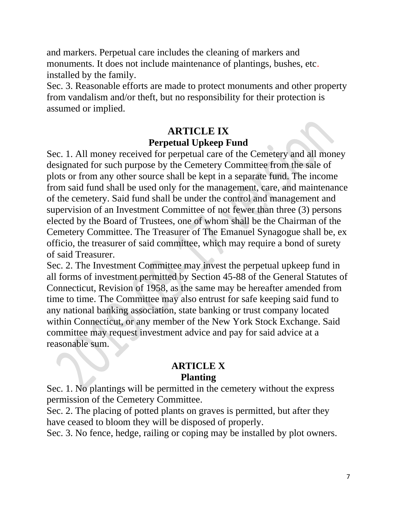and markers. Perpetual care includes the cleaning of markers and monuments. It does not include maintenance of plantings, bushes, etc. installed by the family.

Sec. 3. Reasonable efforts are made to protect monuments and other property from vandalism and/or theft, but no responsibility for their protection is assumed or implied.

#### **ARTICLE IX Perpetual Upkeep Fund**

Sec. 1. All money received for perpetual care of the Cemetery and all money designated for such purpose by the Cemetery Committee from the sale of plots or from any other source shall be kept in a separate fund. The income from said fund shall be used only for the management, care, and maintenance of the cemetery. Said fund shall be under the control and management and supervision of an Investment Committee of not fewer than three (3) persons elected by the Board of Trustees, one of whom shall be the Chairman of the Cemetery Committee. The Treasurer of The Emanuel Synagogue shall be, ex officio, the treasurer of said committee, which may require a bond of surety of said Treasurer.

Sec. 2. The Investment Committee may invest the perpetual upkeep fund in all forms of investment permitted by Section 45-88 of the General Statutes of Connecticut, Revision of 1958, as the same may be hereafter amended from time to time. The Committee may also entrust for safe keeping said fund to any national banking association, state banking or trust company located within Connecticut, or any member of the New York Stock Exchange. Said committee may request investment advice and pay for said advice at a reasonable sum.

#### **ARTICLE X Planting**

Sec. 1. No plantings will be permitted in the cemetery without the express permission of the Cemetery Committee.

Sec. 2. The placing of potted plants on graves is permitted, but after they have ceased to bloom they will be disposed of properly.

Sec. 3. No fence, hedge, railing or coping may be installed by plot owners.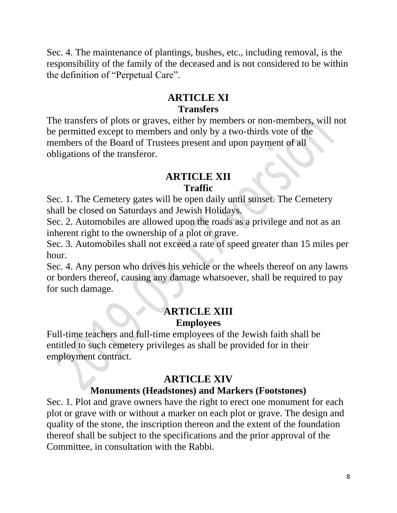Sec. 4. The maintenance of plantings, bushes, etc., including removal, is the responsibility of the family of the deceased and is not considered to be within the definition of "Perpetual Care".

### **ARTICLE XI Transfers**

The transfers of plots or graves, either by members or non-members, will not be permitted except to members and only by a two-thirds vote of the members of the Board of Trustees present and upon payment of all obligations of the transferor.

#### **ARTICLE XII Traffic**

Sec. 1. The Cemetery gates will be open daily until sunset. The Cemetery shall be closed on Saturdays and Jewish Holidays.

Sec. 2. Automobiles are allowed upon the roads as a privilege and not as an inherent right to the ownership of a plot or grave.

Sec. 3. Automobiles shall not exceed a rate of speed greater than 15 miles per hour.

Sec. 4. Any person who drives his vehicle or the wheels thereof on any lawns or borders thereof, causing any damage whatsoever, shall be required to pay for such damage.

### **ARTICLE XIII Employees**

Full-time teachers and full-time employees of the Jewish faith shall be entitled to such cemetery privileges as shall be provided for in their employment contract.

### **ARTICLE XIV**

#### **Monuments (Headstones) and Markers (Footstones)**

Sec. 1. Plot and grave owners have the right to erect one monument for each plot or grave with or without a marker on each plot or grave. The design and quality of the stone, the inscription thereon and the extent of the foundation thereof shall be subject to the specifications and the prior approval of the Committee, in consultation with the Rabbi.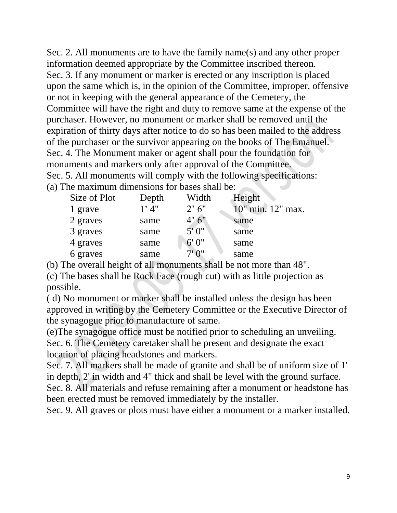Sec. 2. All monuments are to have the family name(s) and any other proper information deemed appropriate by the Committee inscribed thereon. Sec. 3. If any monument or marker is erected or any inscription is placed upon the same which is, in the opinion of the Committee, improper, offensive or not in keeping with the general appearance of the Cemetery, the Committee will have the right and duty to remove same at the expense of the purchaser. However, no monument or marker shall be removed until the expiration of thirty days after notice to do so has been mailed to the address of the purchaser or the survivor appearing on the books of The Emanuel. Sec. 4. The Monument maker or agent shall pour the foundation for monuments and markers only after approval of the Committee. Sec. 5. All monuments will comply with the following specifications: (a) The maximum dimensions for bases shall be:

| Size of Plot | Depth   | Width                 | Height            |
|--------------|---------|-----------------------|-------------------|
| 1 grave      | $1'$ 4" | $2^{\circ} 6^{\circ}$ | 10" min. 12" max. |
| 2 graves     | same    | 4'6''                 | same              |
| 3 graves     | same    | 5'0''                 | same              |
| 4 graves     | same    | 6'0''                 | same              |
| 6 graves     | same    | $7'$ $0''$            | same              |

(b) The overall height of all monuments shall be not more than 48".

(c) The bases shall be Rock Face (rough cut) with as little projection as possible.

( d) No monument or marker shall be installed unless the design has been approved in writing by the Cemetery Committee or the Executive Director of the synagogue prior to manufacture of same.

(e)The synagogue office must be notified prior to scheduling an unveiling. Sec. 6. The Cemetery caretaker shall be present and designate the exact location of placing headstones and markers.

Sec. 7. All markers shall be made of granite and shall be of uniform size of 1' in depth, 2' in width and 4" thick and shall be level with the ground surface. Sec. 8. All materials and refuse remaining after a monument or headstone has been erected must be removed immediately by the installer.

Sec. 9. All graves or plots must have either a monument or a marker installed.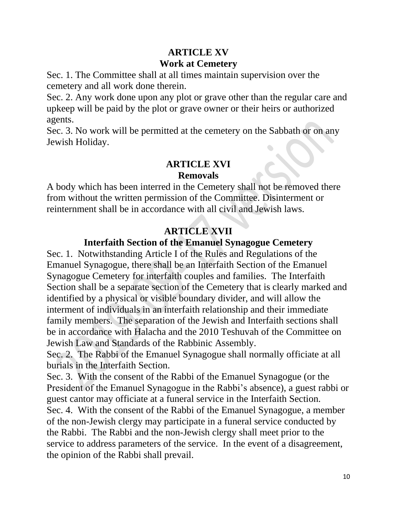### **ARTICLE XV Work at Cemetery**

Sec. 1. The Committee shall at all times maintain supervision over the cemetery and all work done therein.

Sec. 2. Any work done upon any plot or grave other than the regular care and upkeep will be paid by the plot or grave owner or their heirs or authorized agents.

Sec. 3. No work will be permitted at the cemetery on the Sabbath or on any Jewish Holiday.

#### **ARTICLE XVI**

#### **Removals**

A body which has been interred in the Cemetery shall not be removed there from without the written permission of the Committee. Disinterment or reinternment shall be in accordance with all civil and Jewish laws.

### **ARTICLE XVII**

### **Interfaith Section of the Emanuel Synagogue Cemetery**

Sec. 1. Notwithstanding Article I of the Rules and Regulations of the Emanuel Synagogue, there shall be an Interfaith Section of the Emanuel Synagogue Cemetery for interfaith couples and families. The Interfaith Section shall be a separate section of the Cemetery that is clearly marked and identified by a physical or visible boundary divider, and will allow the interment of individuals in an interfaith relationship and their immediate family members. The separation of the Jewish and Interfaith sections shall be in accordance with Halacha and the 2010 Teshuvah of the Committee on Jewish Law and Standards of the Rabbinic Assembly.

Sec. 2. The Rabbi of the Emanuel Synagogue shall normally officiate at all burials in the Interfaith Section.

Sec. 3. With the consent of the Rabbi of the Emanuel Synagogue (or the President of the Emanuel Synagogue in the Rabbi's absence), a guest rabbi or guest cantor may officiate at a funeral service in the Interfaith Section. Sec. 4. With the consent of the Rabbi of the Emanuel Synagogue, a member of the non-Jewish clergy may participate in a funeral service conducted by the Rabbi. The Rabbi and the non-Jewish clergy shall meet prior to the service to address parameters of the service. In the event of a disagreement, the opinion of the Rabbi shall prevail.